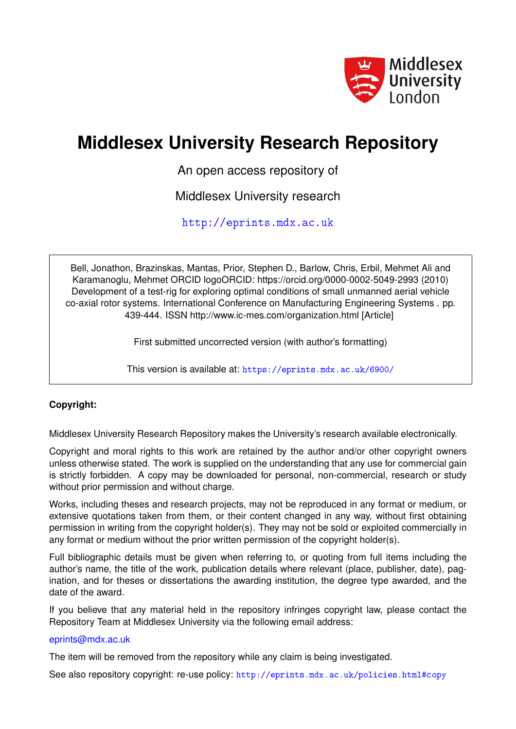

# **Middlesex University Research Repository**

An open access repository of

Middlesex University research

<http://eprints.mdx.ac.uk>

Bell, Jonathon, Brazinskas, Mantas, Prior, Stephen D., Barlow, Chris, Erbil, Mehmet Ali and Karamanoglu, Mehmet ORCID logoORCID: https://orcid.org/0000-0002-5049-2993 (2010) Development of a test-rig for exploring optimal conditions of small unmanned aerial vehicle co-axial rotor systems. International Conference on Manufacturing Engineering Systems . pp. 439-444. ISSN http://www.ic-mes.com/organization.html [Article]

First submitted uncorrected version (with author's formatting)

This version is available at: <https://eprints.mdx.ac.uk/6900/>

# **Copyright:**

Middlesex University Research Repository makes the University's research available electronically.

Copyright and moral rights to this work are retained by the author and/or other copyright owners unless otherwise stated. The work is supplied on the understanding that any use for commercial gain is strictly forbidden. A copy may be downloaded for personal, non-commercial, research or study without prior permission and without charge.

Works, including theses and research projects, may not be reproduced in any format or medium, or extensive quotations taken from them, or their content changed in any way, without first obtaining permission in writing from the copyright holder(s). They may not be sold or exploited commercially in any format or medium without the prior written permission of the copyright holder(s).

Full bibliographic details must be given when referring to, or quoting from full items including the author's name, the title of the work, publication details where relevant (place, publisher, date), pagination, and for theses or dissertations the awarding institution, the degree type awarded, and the date of the award.

If you believe that any material held in the repository infringes copyright law, please contact the Repository Team at Middlesex University via the following email address:

## [eprints@mdx.ac.uk](mailto:eprints@mdx.ac.uk)

The item will be removed from the repository while any claim is being investigated.

See also repository copyright: re-use policy: <http://eprints.mdx.ac.uk/policies.html#copy>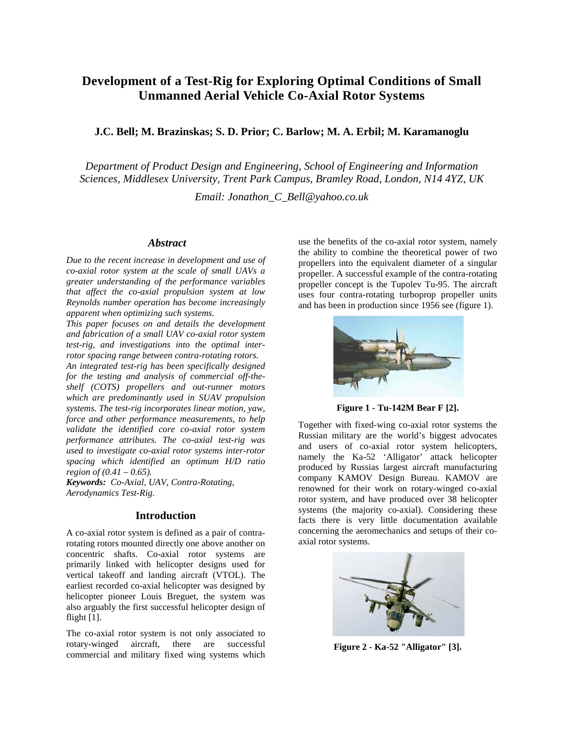# **Development of a Test-Rig for Exploring Optimal Conditions of Small Unmanned Aerial Vehicle Co-Axial Rotor Systems**

### **J.C. Bell; M. Brazinskas; S. D. Prior; C. Barlow; M. A. Erbil; M. Karamanoglu**

*Department of Product Design and Engineering, School of Engineering and Information Sciences, Middlesex University, Trent Park Campus, Bramley Road, London, N14 4YZ, UK*

*Email: [Jonathon\\_C\\_Bell@yahoo.co.uk](mailto:Jonathon_C_Bell@yahoo.co.uk)*

#### *Abstract*

*Due to the recent increase in development and use of co-axial rotor system at the scale of small UAVs a greater understanding of the performance variables that affect the co-axial propulsion system at low Reynolds number operation has become increasingly apparent when optimizing such systems.*

*This paper focuses on and details the development and fabrication of a small UAV co-axial rotor system test-rig, and investigations into the optimal interrotor spacing range between contra-rotating rotors.* 

*An integrated test-rig has been specifically designed for the testing and analysis of commercial off-theshelf (COTS) propellers and out-runner motors which are predominantly used in SUAV propulsion systems. The test-rig incorporates linear motion, yaw, force and other performance measurements, to help validate the identified core co-axial rotor system performance attributes. The co-axial test-rig was used to investigate co-axial rotor systems inter-rotor spacing which identified an optimum H/D ratio region of (0.41 – 0.65).*

*Keywords: Co-Axial, UAV, Contra-Rotating, Aerodynamics Test-Rig.*

#### **Introduction**

A co-axial rotor system is defined as a pair of contrarotating rotors mounted directly one above another on concentric shafts. Co-axial rotor systems are primarily linked with helicopter designs used for vertical takeoff and landing aircraft (VTOL). The earliest recorded co-axial helicopter was designed by helicopter pioneer Louis Breguet, the system was also arguably the first successful helicopter design of flight [1].

The co-axial rotor system is not only associated to rotary-winged aircraft, there are successful commercial and military fixed wing systems which

use the benefits of the co-axial rotor system, namely the ability to combine the theoretical power of two propellers into the equivalent diameter of a singular propeller. A successful example of the contra-rotating propeller concept is the Tupolev Tu-95. The aircraft uses four contra-rotating turboprop propeller units and has been in production since 1956 see (figure 1).



**Figure 1 - Tu-142M Bear F [2].**

Together with fixed-wing co-axial rotor systems the Russian military are the world's biggest advocates and users of co-axial rotor system helicopters, namely the Ka-52 'Alligator' attack helicopter produced by Russias largest aircraft manufacturing company KAMOV Design Bureau. KAMOV are renowned for their work on rotary-winged co-axial rotor system, and have produced over 38 helicopter systems (the majority co-axial). Considering these facts there is very little documentation available concerning the aeromechanics and setups of their coaxial rotor systems.



**Figure 2 - Ka-52 "Alligator" [3].**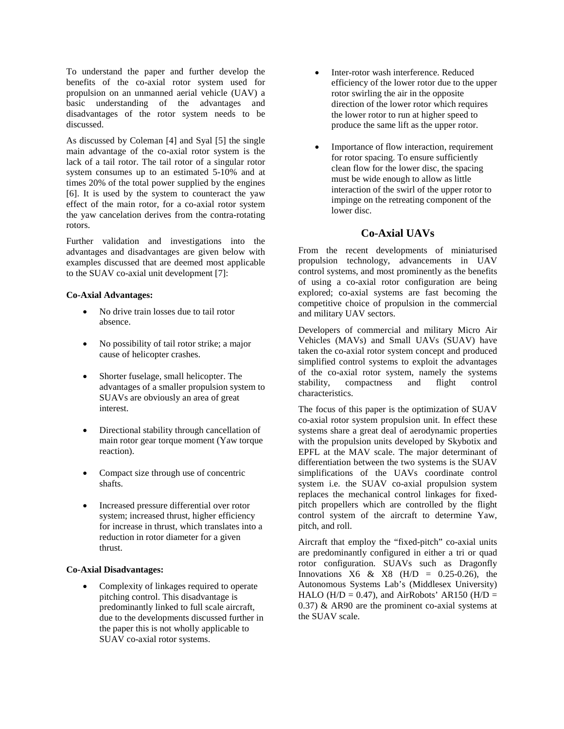To understand the paper and further develop the benefits of the co-axial rotor system used for propulsion on an unmanned aerial vehicle (UAV) a basic understanding of the advantages and disadvantages of the rotor system needs to be discussed.

As discussed by Coleman [4] and Syal [5] the single main advantage of the co-axial rotor system is the lack of a tail rotor. The tail rotor of a singular rotor system consumes up to an estimated 5-10% and at times 20% of the total power supplied by the engines [6]. It is used by the system to counteract the yaw effect of the main rotor, for a co-axial rotor system the yaw cancelation derives from the contra-rotating rotors.

Further validation and investigations into the advantages and disadvantages are given below with examples discussed that are deemed most applicable to the SUAV co-axial unit development [7]:

#### **Co-Axial Advantages:**

- No drive train losses due to tail rotor absence.
- No possibility of tail rotor strike; a major cause of helicopter crashes.
- Shorter fuselage, small helicopter. The advantages of a smaller propulsion system to SUAVs are obviously an area of great interest.
- Directional stability through cancellation of main rotor gear torque moment (Yaw torque reaction).
- Compact size through use of concentric shafts.
- Increased pressure differential over rotor system; increased thrust, higher efficiency for increase in thrust, which translates into a reduction in rotor diameter for a given thrust.

#### **Co-Axial Disadvantages:**

• Complexity of linkages required to operate pitching control. This disadvantage is predominantly linked to full scale aircraft, due to the developments discussed further in the paper this is not wholly applicable to SUAV co-axial rotor systems.

- Inter-rotor wash interference. Reduced efficiency of the lower rotor due to the upper rotor swirling the air in the opposite direction of the lower rotor which requires the lower rotor to run at higher speed to produce the same lift as the upper rotor.
- Importance of flow interaction, requirement for rotor spacing. To ensure sufficiently clean flow for the lower disc, the spacing must be wide enough to allow as little interaction of the swirl of the upper rotor to impinge on the retreating component of the lower disc.

#### **Co-Axial UAVs**

From the recent developments of miniaturised propulsion technology, advancements in UAV control systems, and most prominently as the benefits of using a co-axial rotor configuration are being explored; co-axial systems are fast becoming the competitive choice of propulsion in the commercial and military UAV sectors.

Developers of commercial and military Micro Air Vehicles (MAVs) and Small UAVs (SUAV) have taken the co-axial rotor system concept and produced simplified control systems to exploit the advantages of the co-axial rotor system, namely the systems stability, compactness and flight control characteristics.

The focus of this paper is the optimization of SUAV co-axial rotor system propulsion unit. In effect these systems share a great deal of aerodynamic properties with the propulsion units developed by Skybotix and EPFL at the MAV scale. The major determinant of differentiation between the two systems is the SUAV simplifications of the UAVs coordinate control system i.e. the SUAV co-axial propulsion system replaces the mechanical control linkages for fixedpitch propellers which are controlled by the flight control system of the aircraft to determine Yaw, pitch, and roll.

Aircraft that employ the "fixed-pitch" co-axial units are predominantly configured in either a tri or quad rotor configuration. SUAVs such as Dragonfly Innovations X6 & X8 (H/D =  $0.25-0.26$ ), the Autonomous Systems Lab's (Middlesex University) HALO (H/D = 0.47), and AirRobots' AR150 (H/D = 0.37) & AR90 are the prominent co-axial systems at the SUAV scale.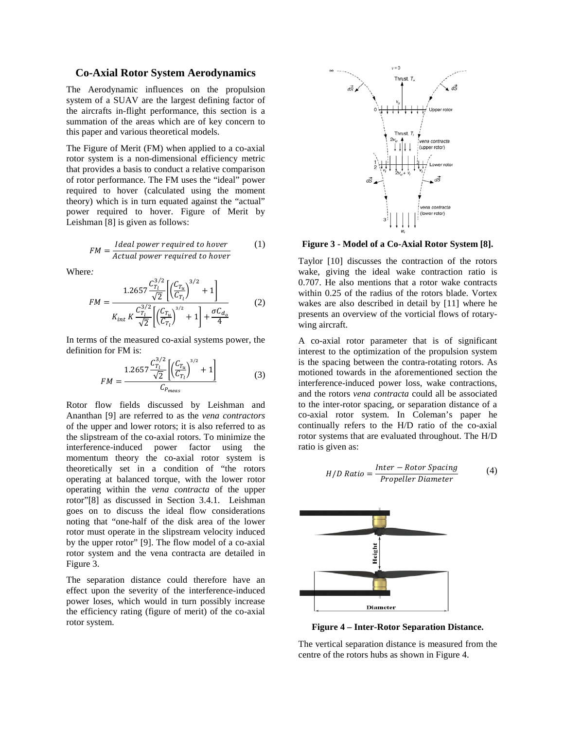#### **Co-Axial Rotor System Aerodynamics**

The Aerodynamic influences on the propulsion system of a SUAV are the largest defining factor of the aircrafts in-flight performance, this section is a summation of the areas which are of key concern to this paper and various theoretical models.

The Figure of Merit (FM) when applied to a co-axial rotor system is a non-dimensional efficiency metric that provides a basis to conduct a relative comparison of rotor performance. The FM uses the "ideal" power required to hover (calculated using the moment theory) which is in turn equated against the "actual" power required to hover. Figure of Merit by Leishman [8] is given as follows:

$$
FM = \frac{Ideal power required to \, hover}{Actual power required to \, hover}
$$
 (1)

Where*:*

$$
FM = \frac{1.2657 \frac{C_{T_l}^{3/2}}{\sqrt{2}} \left[ \left( \frac{C_{T_u}}{C_{T_l}} \right)^{3/2} + 1 \right]}{K_{int} K \frac{C_{T_l}^{3/2}}{\sqrt{2}} \left[ \left( \frac{C_{T_u}}{C_{T_l}} \right)^{3/2} + 1 \right] + \frac{\sigma C_{d_o}}{4}} \tag{2}
$$

In terms of the measured co-axial systems power, the definition for FM is:

$$
FM = \frac{1.2657 \frac{C_{T_l}^{3/2}}{\sqrt{2}} \left[ \left( \frac{C_{T_u}}{C_{T_l}} \right)^{3/2} + 1 \right]}{C_{P_{meas}}}
$$
(3)

Rotor flow fields discussed by Leishman and Ananthan [9] are referred to as the *vena contractors* of the upper and lower rotors; it is also referred to as the slipstream of the co-axial rotors. To minimize the interference-induced power factor using the momentum theory the co-axial rotor system is theoretically set in a condition of "the rotors operating at balanced torque, with the lower rotor operating within the *vena contracta* of the upper rotor"[8] as discussed in Section 3.4.1. Leishman goes on to discuss the ideal flow considerations noting that "one-half of the disk area of the lower rotor must operate in the slipstream velocity induced by the upper rotor" [9]. The flow model of a co-axial rotor system and the vena contracta are detailed in Figure 3.

The separation distance could therefore have an effect upon the severity of the interference-induced power loses, which would in turn possibly increase the efficiency rating (figure of merit) of the co-axial rotor system.



**Figure 3 - Model of a Co-Axial Rotor System [8].**

Taylor [10] discusses the contraction of the rotors wake, giving the ideal wake contraction ratio is 0.707. He also mentions that a rotor wake contracts within 0.25 of the radius of the rotors blade. Vortex wakes are also described in detail by [11] where he presents an overview of the vorticial flows of rotarywing aircraft.

A co-axial rotor parameter that is of significant interest to the optimization of the propulsion system is the spacing between the contra-rotating rotors. As motioned towards in the aforementioned section the interference-induced power loss, wake contractions, and the rotors *vena contracta* could all be associated to the inter-rotor spacing, or separation distance of a co-axial rotor system. In Coleman's paper he continually refers to the H/D ratio of the co-axial rotor systems that are evaluated throughout. The H/D ratio is given as:

$$
H/D \text{ Ratio} = \frac{Inter - Rotor Spacing}{Propeller Diameter} \tag{4}
$$



**Figure 4 – Inter-Rotor Separation Distance.**

The vertical separation distance is measured from the centre of the rotors hubs as shown in Figure 4.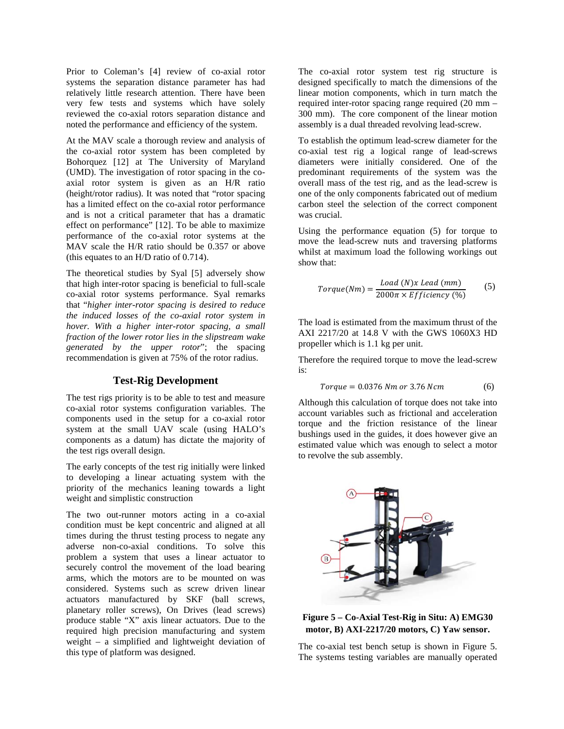Prior to Coleman's [4] review of co-axial rotor systems the separation distance parameter has had relatively little research attention. There have been very few tests and systems which have solely reviewed the co-axial rotors separation distance and noted the performance and efficiency of the system.

At the MAV scale a thorough review and analysis of the co-axial rotor system has been completed by Bohorquez [12] at The University of Maryland (UMD). The investigation of rotor spacing in the coaxial rotor system is given as an H/R ratio (height/rotor radius). It was noted that "rotor spacing has a limited effect on the co-axial rotor performance and is not a critical parameter that has a dramatic effect on performance" [12]. To be able to maximize performance of the co-axial rotor systems at the MAV scale the H/R ratio should be 0.357 or above (this equates to an H/D ratio of 0.714).

The theoretical studies by Syal [5] adversely show that high inter-rotor spacing is beneficial to full-scale co-axial rotor systems performance. Syal remarks that "*higher inter-rotor spacing is desired to reduce the induced losses of the co-axial rotor system in hover. With a higher inter-rotor spacing, a small fraction of the lower rotor lies in the slipstream wake generated by the upper rotor*"; the spacing recommendation is given at 75% of the rotor radius.

#### **Test-Rig Development**

The test rigs priority is to be able to test and measure co-axial rotor systems configuration variables. The components used in the setup for a co-axial rotor system at the small UAV scale (using HALO's components as a datum) has dictate the majority of the test rigs overall design.

The early concepts of the test rig initially were linked to developing a linear actuating system with the priority of the mechanics leaning towards a light weight and simplistic construction

The two out-runner motors acting in a co-axial condition must be kept concentric and aligned at all times during the thrust testing process to negate any adverse non-co-axial conditions. To solve this problem a system that uses a linear actuator to securely control the movement of the load bearing arms, which the motors are to be mounted on was considered. Systems such as screw driven linear actuators manufactured by SKF (ball screws, planetary roller screws), On Drives (lead screws) produce stable "X" axis linear actuators. Due to the required high precision manufacturing and system weight – a simplified and lightweight deviation of this type of platform was designed.

The co-axial rotor system test rig structure is designed specifically to match the dimensions of the linear motion components, which in turn match the required inter-rotor spacing range required (20 mm – 300 mm). The core component of the linear motion assembly is a dual threaded revolving lead-screw.

To establish the optimum lead-screw diameter for the co-axial test rig a logical range of lead-screws diameters were initially considered. One of the predominant requirements of the system was the overall mass of the test rig, and as the lead-screw is one of the only components fabricated out of medium carbon steel the selection of the correct component was crucial.

Using the performance equation (5) for torque to move the lead-screw nuts and traversing platforms whilst at maximum load the following workings out show that:

$$
Torque(Nm) = \frac{Load(N)x\text{ }lead(mm)}{2000\pi \times Efficiency(%)}
$$
 (5)

The load is estimated from the maximum thrust of the AXI 2217/20 at 14.8 V with the GWS 1060X3 HD propeller which is 1.1 kg per unit.

Therefore the required torque to move the lead-screw is:

$$
Torque = 0.0376 Nm or 3.76 Ncm
$$
 (6)

Although this calculation of torque does not take into account variables such as frictional and acceleration torque and the friction resistance of the linear bushings used in the guides, it does however give an estimated value which was enough to select a motor to revolve the sub assembly.



**Figure 5 – Co-Axial Test-Rig in Situ: A) EMG30 motor, B) AXI-2217/20 motors, C) Yaw sensor.**

The co-axial test bench setup is shown in Figure 5. The systems testing variables are manually operated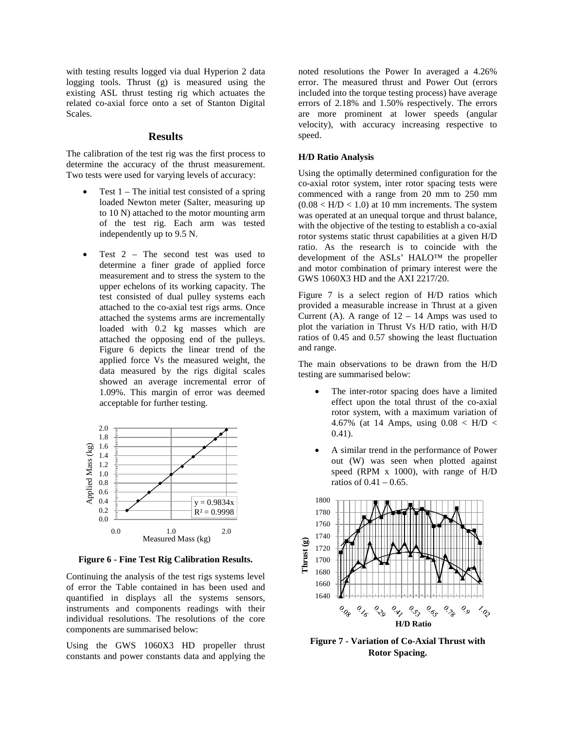with testing results logged via dual Hyperion 2 data logging tools. Thrust (g) is measured using the existing ASL thrust testing rig which actuates the related co-axial force onto a set of Stanton Digital Scales.

#### **Results**

The calibration of the test rig was the first process to determine the accuracy of the thrust measurement. Two tests were used for varying levels of accuracy:

- Test  $1$  The initial test consisted of a spring loaded Newton meter (Salter, measuring up to 10 N) attached to the motor mounting arm of the test rig. Each arm was tested independently up to 9.5 N.
- Test  $2$  The second test was used to determine a finer grade of applied force measurement and to stress the system to the upper echelons of its working capacity. The test consisted of dual pulley systems each attached to the co-axial test rigs arms. Once attached the systems arms are incrementally loaded with 0.2 kg masses which are attached the opposing end of the pulleys. Figure 6 depicts the linear trend of the applied force Vs the measured weight, the data measured by the rigs digital scales showed an average incremental error of 1.09%. This margin of error was deemed acceptable for further testing.



**Figure 6 - Fine Test Rig Calibration Results.**

Continuing the analysis of the test rigs systems level of error the Table contained in has been used and quantified in displays all the systems sensors, instruments and components readings with their individual resolutions. The resolutions of the core components are summarised below:

Using the GWS 1060X3 HD propeller thrust constants and power constants data and applying the

noted resolutions the Power In averaged a 4.26% error. The measured thrust and Power Out (errors included into the torque testing process) have average errors of 2.18% and 1.50% respectively. The errors are more prominent at lower speeds (angular velocity), with accuracy increasing respective to speed.

#### **H/D Ratio Analysis**

Using the optimally determined configuration for the co-axial rotor system, inter rotor spacing tests were commenced with a range from 20 mm to 250 mm  $(0.08 < H/D < 1.0)$  at 10 mm increments. The system was operated at an unequal torque and thrust balance, with the objective of the testing to establish a co-axial rotor systems static thrust capabilities at a given H/D ratio. As the research is to coincide with the development of the ASLs' HALO™ the propeller and motor combination of primary interest were the GWS 1060X3 HD and the AXI 2217/20.

Figure 7 is a select region of H/D ratios which provided a measurable increase in Thrust at a given Current (A). A range of  $12 - 14$  Amps was used to plot the variation in Thrust Vs H/D ratio, with H/D ratios of 0.45 and 0.57 showing the least fluctuation and range.

The main observations to be drawn from the H/D testing are summarised below:

- The inter-rotor spacing does have a limited effect upon the total thrust of the co-axial rotor system, with a maximum variation of 4.67% (at 14 Amps, using  $0.08 < H/D <$ 0.41).
- A similar trend in the performance of Power out (W) was seen when plotted against speed (RPM x 1000), with range of H/D ratios of 0.41 – 0.65.



**Figure 7 - Variation of Co-Axial Thrust with Rotor Spacing.**